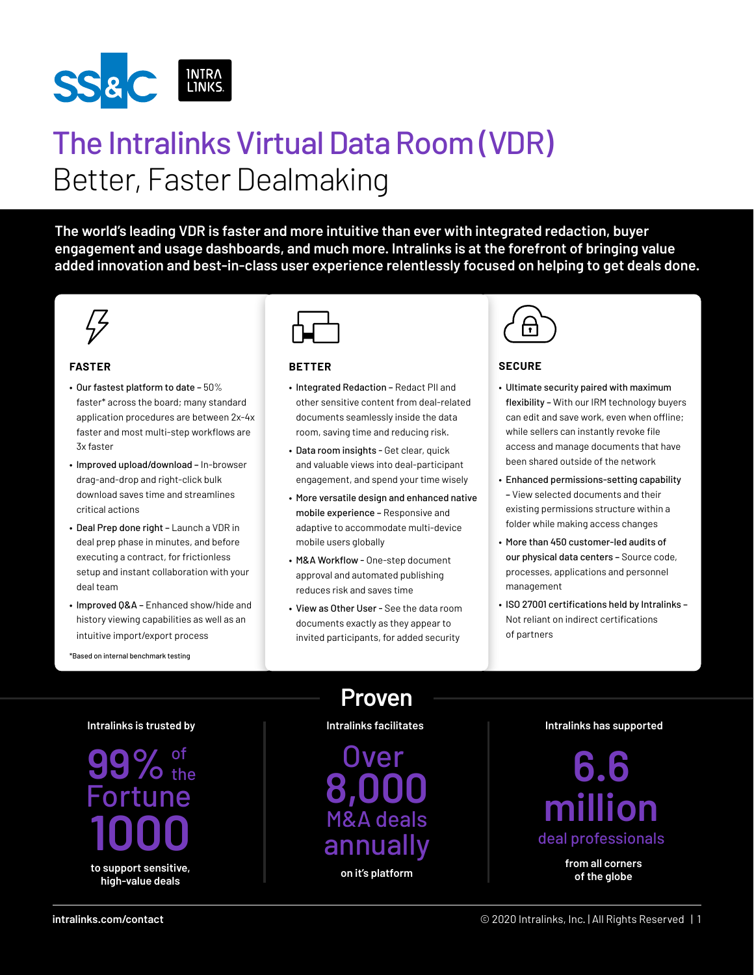

# The Intralinks Virtual Data Room (VDR) Better, Faster Dealmaking

**The world's leading VDR is faster and more intuitive than ever with integrated redaction, buyer engagement and usage dashboards, and much more. Intralinks is at the forefront of bringing value added innovation and best-in-class user experience relentlessly focused on helping to get deals done.**



#### **FASTER**

- Our fastest platform to date 50% faster\* across the board; many standard application procedures are between 2x-4x faster and most multi-step workflows are 3x faster
- Improved upload/download In-browser drag-and-drop and right-click bulk download saves time and streamlines critical actions
- Deal Prep done right Launch a VDR in deal prep phase in minutes, and before executing a contract, for frictionless setup and instant collaboration with your deal team
- Improved Q&A Enhanced show/hide and history viewing capabilities as well as an intuitive import/export process

\*Based on internal benchmark testing



#### **BETTER**

- Integrated Redaction Redact PII and other sensitive content from deal-related documents seamlessly inside the data room, saving time and reducing risk.
- Data room insights Get clear, quick and valuable views into deal-participant engagement, and spend your time wisely
- More versatile design and enhanced native mobile experience – Responsive and adaptive to accommodate multi-device mobile users globally
- M&A Workflow One-step document approval and automated publishing reduces risk and saves time
- View as Other User See the data room documents exactly as they appear to invited participants, for added security



#### **SECURE**

- Ultimate security paired with maximum flexibility – With our IRM technology buyers can edit and save work, even when offline; while sellers can instantly revoke file access and manage documents that have been shared outside of the network
- Enhanced permissions-setting capability – View selected documents and their existing permissions structure within a folder while making access changes
- More than 450 customer-led audits of our physical data centers – Source code, processes, applications and personnel management
- ISO 27001 certifications held by Intralinks Not reliant on indirect certifications of partners

**Intralinks is trusted by**

99% of tune **1000 to support sensitive, high-value deals**

**Proven**

#### **Intralinks facilitates Intralinks has supported**

**8,000** M&A deals annually **on it's platform Over** 



**from all corners of the globe**